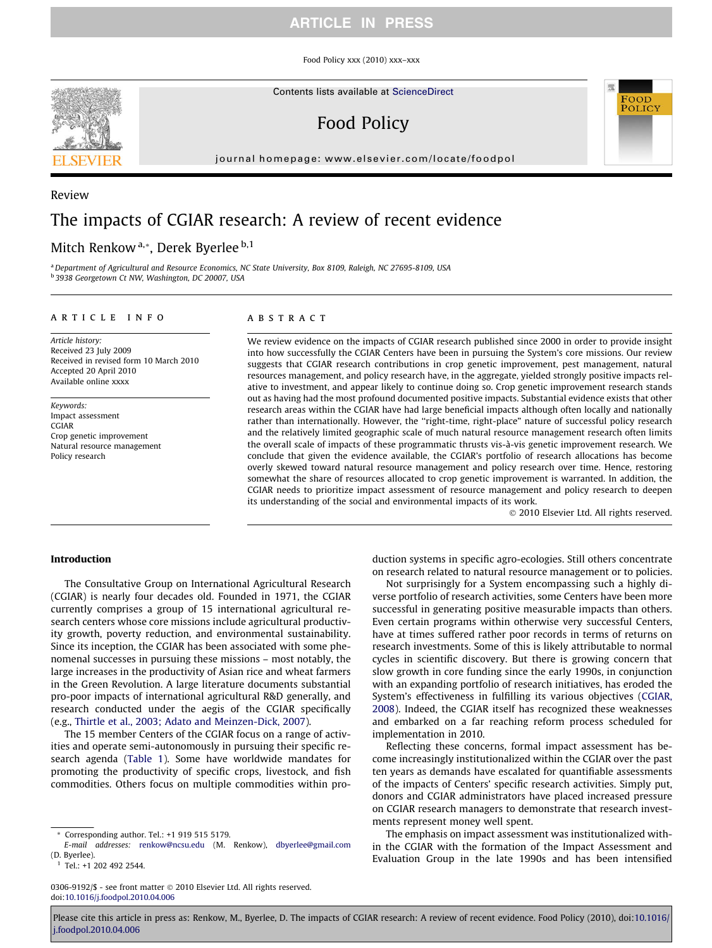### Food Policy xxx (2010) xxx–xxx



Food Policy

journal homepage: [www.elsevier.com/locate/foodpol](http://www.elsevier.com/locate/foodpol)

Please cite this article in press as: Renkow, M., Byerlee, D. The impacts of CGIAR research: A review of recent evidence. Food Policy (2010), doi:[10.1016/](http://dx.doi.org/10.1016/j.foodpol.2010.04.006)

# Review The impacts of CGIAR research: A review of recent evidence

### Mitch Renkow<sup>a,\*</sup>, Derek Byerlee<sup>b,1</sup>

a Department of Agricultural and Resource Economics, NC State University, Box 8109, Raleigh, NC 27695-8109, USA <sup>b</sup> 3938 Georgetown Ct NW, Washington, DC 20007, USA

#### article info

Article history: Received 23 July 2009 Received in revised form 10 March 2010 Accepted 20 April 2010 Available online xxxx

Keywords: Impact assessment CGIAR Crop genetic improvement Natural resource management Policy research

#### **ABSTRACT**

We review evidence on the impacts of CGIAR research published since 2000 in order to provide insight into how successfully the CGIAR Centers have been in pursuing the System's core missions. Our review suggests that CGIAR research contributions in crop genetic improvement, pest management, natural resources management, and policy research have, in the aggregate, yielded strongly positive impacts relative to investment, and appear likely to continue doing so. Crop genetic improvement research stands out as having had the most profound documented positive impacts. Substantial evidence exists that other research areas within the CGIAR have had large beneficial impacts although often locally and nationally rather than internationally. However, the ''right-time, right-place" nature of successful policy research and the relatively limited geographic scale of much natural resource management research often limits the overall scale of impacts of these programmatic thrusts vis-à-vis genetic improvement research. We conclude that given the evidence available, the CGIAR's portfolio of research allocations has become overly skewed toward natural resource management and policy research over time. Hence, restoring somewhat the share of resources allocated to crop genetic improvement is warranted. In addition, the CGIAR needs to prioritize impact assessment of resource management and policy research to deepen its understanding of the social and environmental impacts of its work.

- 2010 Elsevier Ltd. All rights reserved.

#### Introduction

The Consultative Group on International Agricultural Research (CGIAR) is nearly four decades old. Founded in 1971, the CGIAR currently comprises a group of 15 international agricultural research centers whose core missions include agricultural productivity growth, poverty reduction, and environmental sustainability. Since its inception, the CGIAR has been associated with some phenomenal successes in pursuing these missions – most notably, the large increases in the productivity of Asian rice and wheat farmers in the Green Revolution. A large literature documents substantial pro-poor impacts of international agricultural R&D generally, and research conducted under the aegis of the CGIAR specifically (e.g., [Thirtle et al., 2003; Adato and Meinzen-Dick, 2007\)](#page-11-0).

The 15 member Centers of the CGIAR focus on a range of activities and operate semi-autonomously in pursuing their specific research agenda ([Table 1\)](#page-1-0). Some have worldwide mandates for promoting the productivity of specific crops, livestock, and fish commodities. Others focus on multiple commodities within pro-

[j.foodpol.2010.04.006](http://dx.doi.org/10.1016/j.foodpol.2010.04.006)

duction systems in specific agro-ecologies. Still others concentrate on research related to natural resource management or to policies.

Not surprisingly for a System encompassing such a highly diverse portfolio of research activities, some Centers have been more successful in generating positive measurable impacts than others. Even certain programs within otherwise very successful Centers, have at times suffered rather poor records in terms of returns on research investments. Some of this is likely attributable to normal cycles in scientific discovery. But there is growing concern that slow growth in core funding since the early 1990s, in conjunction with an expanding portfolio of research initiatives, has eroded the System's effectiveness in fulfilling its various objectives [\(CGIAR,](#page-10-0) [2008](#page-10-0)). Indeed, the CGIAR itself has recognized these weaknesses and embarked on a far reaching reform process scheduled for implementation in 2010.

Reflecting these concerns, formal impact assessment has become increasingly institutionalized within the CGIAR over the past ten years as demands have escalated for quantifiable assessments of the impacts of Centers' specific research activities. Simply put, donors and CGIAR administrators have placed increased pressure on CGIAR research managers to demonstrate that research investments represent money well spent.

The emphasis on impact assessment was institutionalized within the CGIAR with the formation of the Impact Assessment and Evaluation Group in the late 1990s and has been intensified



Corresponding author. Tel.: +1 919 515 5179.

E-mail addresses: [renkow@ncsu.edu](mailto:renkow@ncsu.edu) (M. Renkow), [dbyerlee@gmail.com](mailto:dbyerlee@gmail.com) (D. Byerlee).

 $1$  Tel.: +1 202 492 2544.

<sup>0306-9192/\$ -</sup> see front matter © 2010 Elsevier Ltd. All rights reserved. doi[:10.1016/j.foodpol.2010.04.006](http://dx.doi.org/10.1016/j.foodpol.2010.04.006)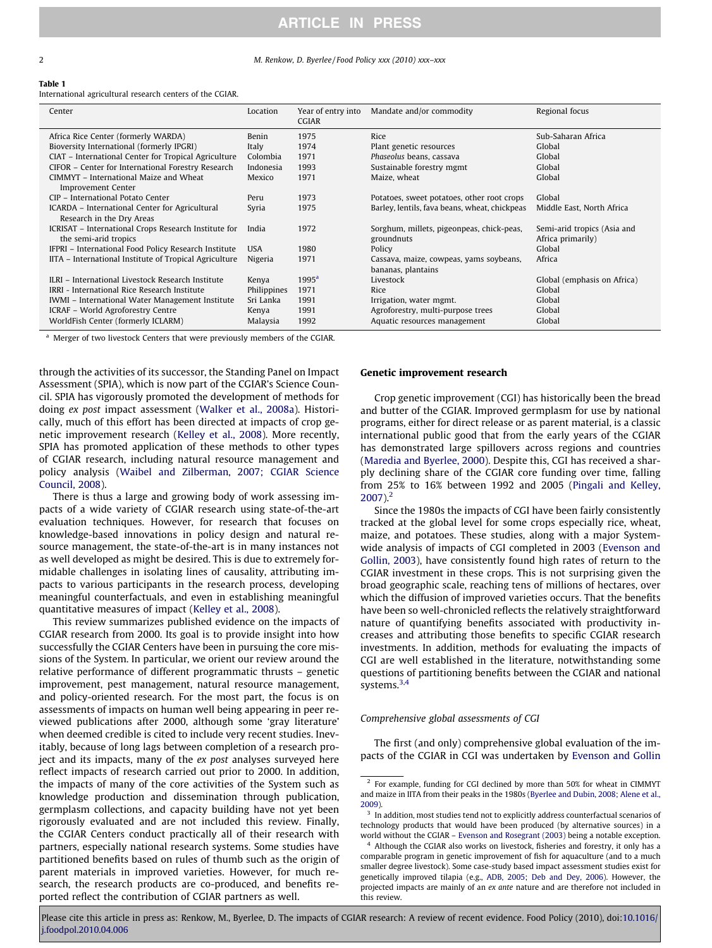#### <span id="page-1-0"></span>2 M. Renkow, D. Byerlee / Food Policy xxx (2010) xxx–xxx

#### Table 1

International agricultural research centers of the CGIAR.

| Center                                                                        | Location    | Year of entry into<br>CGIAR | Mandate and/or commodity                                      | Regional focus                                   |
|-------------------------------------------------------------------------------|-------------|-----------------------------|---------------------------------------------------------------|--------------------------------------------------|
| Africa Rice Center (formerly WARDA)                                           | Benin       | 1975                        | Rice                                                          | Sub-Saharan Africa                               |
| Bioversity International (formerly IPGRI)                                     | Italy       | 1974                        | Plant genetic resources                                       | Global                                           |
| CIAT - International Center for Tropical Agriculture                          | Colombia    | 1971                        | Phaseolus beans, cassava                                      | Global                                           |
| CIFOR - Center for International Forestry Research                            | Indonesia   | 1993                        | Sustainable forestry mgmt                                     | Global                                           |
| CIMMYT - International Maize and Wheat                                        | Mexico      | 1971                        | Maize, wheat                                                  | Global                                           |
| Improvement Center                                                            |             |                             |                                                               |                                                  |
| CIP - International Potato Center                                             | Peru        | 1973                        | Potatoes, sweet potatoes, other root crops                    | Global                                           |
| ICARDA – International Center for Agricultural                                | Syria       | 1975                        | Barley, lentils, fava beans, wheat, chickpeas                 | Middle East, North Africa                        |
| Research in the Dry Areas                                                     |             |                             |                                                               |                                                  |
| ICRISAT - International Crops Research Institute for<br>the semi-arid tropics | India       | 1972                        | Sorghum, millets, pigeonpeas, chick-peas,<br>groundnuts       | Semi-arid tropics (Asia and<br>Africa primarily) |
| IFPRI - International Food Policy Research Institute                          | <b>USA</b>  | 1980                        | Policy                                                        | Global                                           |
| IITA - International Institute of Tropical Agriculture                        | Nigeria     | 1971                        | Cassava, maize, cowpeas, yams soybeans,<br>bananas, plantains | Africa                                           |
| ILRI - International Livestock Research Institute                             | Kenya       | 1995 <sup>a</sup>           | Livestock                                                     | Global (emphasis on Africa)                      |
| IRRI - International Rice Research Institute                                  | Philippines | 1971                        | Rice                                                          | Global                                           |
| IWMI – International Water Management Institute                               | Sri Lanka   | 1991                        | Irrigation, water mgmt.                                       | Global                                           |
| ICRAF - World Agroforestry Centre                                             | Kenya       | 1991                        | Agroforestry, multi-purpose trees                             | Global                                           |
| WorldFish Center (formerly ICLARM)                                            | Malaysia    | 1992                        | Aquatic resources management                                  | Global                                           |

<sup>a</sup> Merger of two livestock Centers that were previously members of the CGIAR.

through the activities of its successor, the Standing Panel on Impact Assessment (SPIA), which is now part of the CGIAR's Science Council. SPIA has vigorously promoted the development of methods for doing ex post impact assessment [\(Walker et al., 2008a](#page-11-0)). Historically, much of this effort has been directed at impacts of crop genetic improvement research [\(Kelley et al., 2008](#page-11-0)). More recently, SPIA has promoted application of these methods to other types of CGIAR research, including natural resource management and policy analysis [\(Waibel and Zilberman, 2007; CGIAR Science](#page-11-0) [Council, 2008](#page-11-0)).

There is thus a large and growing body of work assessing impacts of a wide variety of CGIAR research using state-of-the-art evaluation techniques. However, for research that focuses on knowledge-based innovations in policy design and natural resource management, the state-of-the-art is in many instances not as well developed as might be desired. This is due to extremely formidable challenges in isolating lines of causality, attributing impacts to various participants in the research process, developing meaningful counterfactuals, and even in establishing meaningful quantitative measures of impact ([Kelley et al., 2008\)](#page-11-0).

This review summarizes published evidence on the impacts of CGIAR research from 2000. Its goal is to provide insight into how successfully the CGIAR Centers have been in pursuing the core missions of the System. In particular, we orient our review around the relative performance of different programmatic thrusts – genetic improvement, pest management, natural resource management, and policy-oriented research. For the most part, the focus is on assessments of impacts on human well being appearing in peer reviewed publications after 2000, although some 'gray literature' when deemed credible is cited to include very recent studies. Inevitably, because of long lags between completion of a research project and its impacts, many of the ex post analyses surveyed here reflect impacts of research carried out prior to 2000. In addition, the impacts of many of the core activities of the System such as knowledge production and dissemination through publication, germplasm collections, and capacity building have not yet been rigorously evaluated and are not included this review. Finally, the CGIAR Centers conduct practically all of their research with partners, especially national research systems. Some studies have partitioned benefits based on rules of thumb such as the origin of parent materials in improved varieties. However, for much research, the research products are co-produced, and benefits reported reflect the contribution of CGIAR partners as well.

### Genetic improvement research

Crop genetic improvement (CGI) has historically been the bread and butter of the CGIAR. Improved germplasm for use by national programs, either for direct release or as parent material, is a classic international public good that from the early years of the CGIAR has demonstrated large spillovers across regions and countries ([Maredia and Byerlee, 2000\)](#page-11-0). Despite this, CGI has received a sharply declining share of the CGIAR core funding over time, falling from 25% to 16% between 1992 and 2005 [\(Pingali and Kelley,](#page-11-0) [2007\)](#page-11-0).2

Since the 1980s the impacts of CGI have been fairly consistently tracked at the global level for some crops especially rice, wheat, maize, and potatoes. These studies, along with a major Systemwide analysis of impacts of CGI completed in 2003 [\(Evenson and](#page-10-0) [Gollin, 2003](#page-10-0)), have consistently found high rates of return to the CGIAR investment in these crops. This is not surprising given the broad geographic scale, reaching tens of millions of hectares, over which the diffusion of improved varieties occurs. That the benefits have been so well-chronicled reflects the relatively straightforward nature of quantifying benefits associated with productivity increases and attributing those benefits to specific CGIAR research investments. In addition, methods for evaluating the impacts of CGI are well established in the literature, notwithstanding some questions of partitioning benefits between the CGIAR and national systems.<sup>3,4</sup>

#### Comprehensive global assessments of CGI

The first (and only) comprehensive global evaluation of the impacts of the CGIAR in CGI was undertaken by [Evenson and Gollin](#page-10-0)

<sup>&</sup>lt;sup>2</sup> For example, funding for CGI declined by more than 50% for wheat in CIMMYT and maize in IITA from their peaks in the 1980s ([Byerlee and Dubin, 2008; Alene et al.,](#page-10-0) [2009](#page-10-0)).

<sup>&</sup>lt;sup>3</sup> In addition, most studies tend not to explicitly address counterfactual scenarios of technology products that would have been produced (by alternative sources) in a world without the CGIAR – [Evenson and Rosegrant \(2003\)](#page-10-0) being a notable exception.

<sup>&</sup>lt;sup>4</sup> Although the CGIAR also works on livestock, fisheries and forestry, it only has a comparable program in genetic improvement of fish for aquaculture (and to a much smaller degree livestock). Some case-study based impact assessment studies exist for genetically improved tilapia (e.g., [ADB, 2005](#page-10-0); [Deb and Dey, 2006\)](#page-10-0). However, the projected impacts are mainly of an ex ante nature and are therefore not included in this review.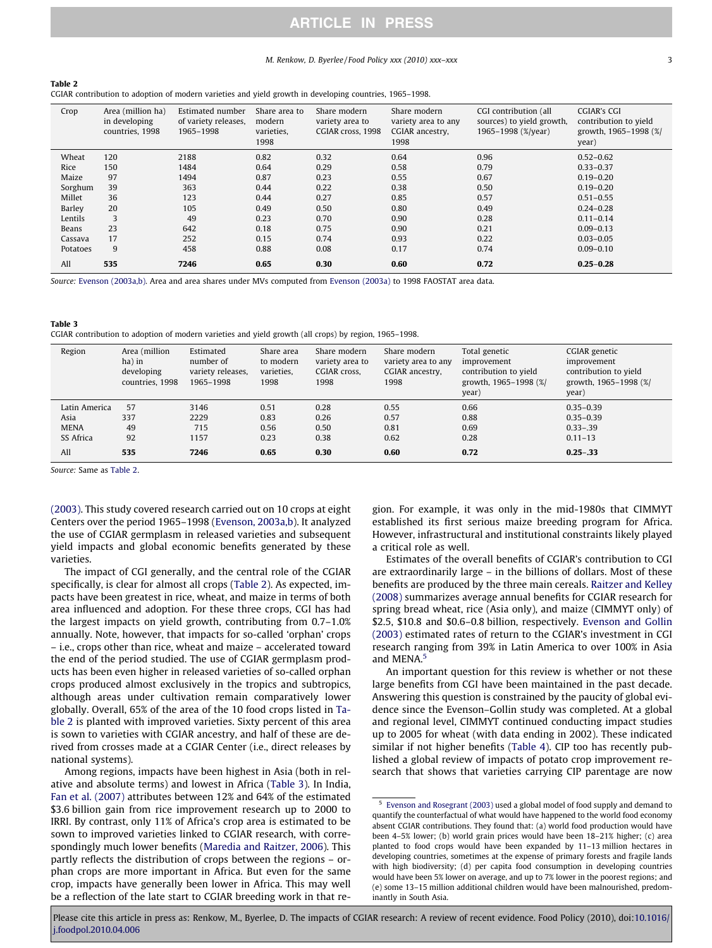#### M. Renkow, D. Byerlee / Food Policy xxx (2010) xxx–xxx 3

<span id="page-2-0"></span>

| Table 2                                                                                                 |  |  |  |
|---------------------------------------------------------------------------------------------------------|--|--|--|
| CGIAR contribution to adoption of modern varieties and yield growth in developing countries, 1965–1998. |  |  |  |

| Crop     | Area (million ha)<br>in developing<br>countries, 1998 | Estimated number<br>of variety releases,<br>1965-1998 | Share area to<br>modern<br>varieties,<br>1998 | Share modern<br>variety area to<br>CGIAR cross, 1998 | Share modern<br>variety area to any<br>CGIAR ancestry,<br>1998 | CGI contribution (all<br>sources) to yield growth,<br>1965-1998 (%/year) | CGIAR's CGI<br>contribution to yield<br>growth, 1965–1998 (%)<br>year) |
|----------|-------------------------------------------------------|-------------------------------------------------------|-----------------------------------------------|------------------------------------------------------|----------------------------------------------------------------|--------------------------------------------------------------------------|------------------------------------------------------------------------|
| Wheat    | 120                                                   | 2188                                                  | 0.82                                          | 0.32                                                 | 0.64                                                           | 0.96                                                                     | $0.52 - 0.62$                                                          |
| Rice     | 150                                                   | 1484                                                  | 0.64                                          | 0.29                                                 | 0.58                                                           | 0.79                                                                     | $0.33 - 0.37$                                                          |
| Maize    | 97                                                    | 1494                                                  | 0.87                                          | 0.23                                                 | 0.55                                                           | 0.67                                                                     | $0.19 - 0.20$                                                          |
| Sorghum  | 39                                                    | 363                                                   | 0.44                                          | 0.22                                                 | 0.38                                                           | 0.50                                                                     | $0.19 - 0.20$                                                          |
| Millet   | 36                                                    | 123                                                   | 0.44                                          | 0.27                                                 | 0.85                                                           | 0.57                                                                     | $0.51 - 0.55$                                                          |
| Barley   | 20                                                    | 105                                                   | 0.49                                          | 0.50                                                 | 0.80                                                           | 0.49                                                                     | $0.24 - 0.28$                                                          |
| Lentils  | 3                                                     | 49                                                    | 0.23                                          | 0.70                                                 | 0.90                                                           | 0.28                                                                     | $0.11 - 0.14$                                                          |
| Beans    | 23                                                    | 642                                                   | 0.18                                          | 0.75                                                 | 0.90                                                           | 0.21                                                                     | $0.09 - 0.13$                                                          |
| Cassava  | 17                                                    | 252                                                   | 0.15                                          | 0.74                                                 | 0.93                                                           | 0.22                                                                     | $0.03 - 0.05$                                                          |
| Potatoes | 9                                                     | 458                                                   | 0.88                                          | 0.08                                                 | 0.17                                                           | 0.74                                                                     | $0.09 - 0.10$                                                          |
| All      | 535                                                   | 7246                                                  | 0.65                                          | 0.30                                                 | 0.60                                                           | 0.72                                                                     | $0.25 - 0.28$                                                          |

Source: [Evenson \(2003a,b\).](#page-10-0) Area and area shares under MVs computed from [Evenson \(2003a\)](#page-10-0) to 1998 FAOSTAT area data.

Table 3 CGIAR contribution to adoption of modern varieties and yield growth (all crops) by region, 1965–1998.

| Region        | Area (million<br>$ha)$ in<br>developing<br>countries, 1998 | Estimated<br>number of<br>variety releases,<br>1965-1998 | Share area<br>to modern<br>varieties,<br>1998 | Share modern<br>variety area to<br>CGIAR cross,<br>1998 | Share modern<br>variety area to any<br>CGIAR ancestry,<br>1998 | Total genetic<br>improvement<br>contribution to yield<br>growth, 1965-1998 (%/<br>year) | CGIAR genetic<br>improvement<br>contribution to yield<br>growth, 1965-1998 (%)<br>year) |
|---------------|------------------------------------------------------------|----------------------------------------------------------|-----------------------------------------------|---------------------------------------------------------|----------------------------------------------------------------|-----------------------------------------------------------------------------------------|-----------------------------------------------------------------------------------------|
| Latin America | 57                                                         | 3146                                                     | 0.51                                          | 0.28                                                    | 0.55                                                           | 0.66                                                                                    | $0.35 - 0.39$                                                                           |
| Asia          | 337                                                        | 2229                                                     | 0.83                                          | 0.26                                                    | 0.57                                                           | 0.88                                                                                    | $0.35 - 0.39$                                                                           |
| <b>MENA</b>   | 49                                                         | 715                                                      | 0.56                                          | 0.50                                                    | 0.81                                                           | 0.69                                                                                    | $0.33 - 0.39$                                                                           |
| SS Africa     | 92                                                         | 1157                                                     | 0.23                                          | 0.38                                                    | 0.62                                                           | 0.28                                                                                    | $0.11 - 13$                                                                             |
| All           | 535                                                        | 7246                                                     | 0.65                                          | 0.30                                                    | 0.60                                                           | 0.72                                                                                    | $0.25 - .33$                                                                            |

Source: Same as Table 2.

[\(2003\)](#page-10-0). This study covered research carried out on 10 crops at eight Centers over the period 1965–1998 [\(Evenson, 2003a,b](#page-10-0)). It analyzed the use of CGIAR germplasm in released varieties and subsequent yield impacts and global economic benefits generated by these varieties.

The impact of CGI generally, and the central role of the CGIAR specifically, is clear for almost all crops (Table 2). As expected, impacts have been greatest in rice, wheat, and maize in terms of both area influenced and adoption. For these three crops, CGI has had the largest impacts on yield growth, contributing from 0.7–1.0% annually. Note, however, that impacts for so-called 'orphan' crops – i.e., crops other than rice, wheat and maize – accelerated toward the end of the period studied. The use of CGIAR germplasm products has been even higher in released varieties of so-called orphan crops produced almost exclusively in the tropics and subtropics, although areas under cultivation remain comparatively lower globally. Overall, 65% of the area of the 10 food crops listed in Table 2 is planted with improved varieties. Sixty percent of this area is sown to varieties with CGIAR ancestry, and half of these are derived from crosses made at a CGIAR Center (i.e., direct releases by national systems).

Among regions, impacts have been highest in Asia (both in relative and absolute terms) and lowest in Africa (Table 3). In India, [Fan et al. \(2007\)](#page-10-0) attributes between 12% and 64% of the estimated \$3.6 billion gain from rice improvement research up to 2000 to IRRI. By contrast, only 11% of Africa's crop area is estimated to be sown to improved varieties linked to CGIAR research, with correspondingly much lower benefits [\(Maredia and Raitzer, 2006](#page-11-0)). This partly reflects the distribution of crops between the regions – orphan crops are more important in Africa. But even for the same crop, impacts have generally been lower in Africa. This may well be a reflection of the late start to CGIAR breeding work in that region. For example, it was only in the mid-1980s that CIMMYT established its first serious maize breeding program for Africa. However, infrastructural and institutional constraints likely played a critical role as well.

Estimates of the overall benefits of CGIAR's contribution to CGI are extraordinarily large – in the billions of dollars. Most of these benefits are produced by the three main cereals. [Raitzer and Kelley](#page-11-0) [\(2008\)](#page-11-0) summarizes average annual benefits for CGIAR research for spring bread wheat, rice (Asia only), and maize (CIMMYT only) of \$2.5, \$10.8 and \$0.6–0.8 billion, respectively. [Evenson and Gollin](#page-10-0) [\(2003\)](#page-10-0) estimated rates of return to the CGIAR's investment in CGI research ranging from 39% in Latin America to over 100% in Asia and MENA.<sup>5</sup>

An important question for this review is whether or not these large benefits from CGI have been maintained in the past decade. Answering this question is constrained by the paucity of global evidence since the Evenson–Gollin study was completed. At a global and regional level, CIMMYT continued conducting impact studies up to 2005 for wheat (with data ending in 2002). These indicated similar if not higher benefits [\(Table 4](#page-3-0)). CIP too has recently published a global review of impacts of potato crop improvement research that shows that varieties carrying CIP parentage are now

<sup>5</sup> [Evenson and Rosegrant \(2003\)](#page-10-0) used a global model of food supply and demand to quantify the counterfactual of what would have happened to the world food economy absent CGIAR contributions. They found that: (a) world food production would have been 4–5% lower; (b) world grain prices would have been 18–21% higher; (c) area planted to food crops would have been expanded by 11–13 million hectares in developing countries, sometimes at the expense of primary forests and fragile lands with high biodiversity; (d) per capita food consumption in developing countries would have been 5% lower on average, and up to 7% lower in the poorest regions; and (e) some 13–15 million additional children would have been malnourished, predominantly in South Asia.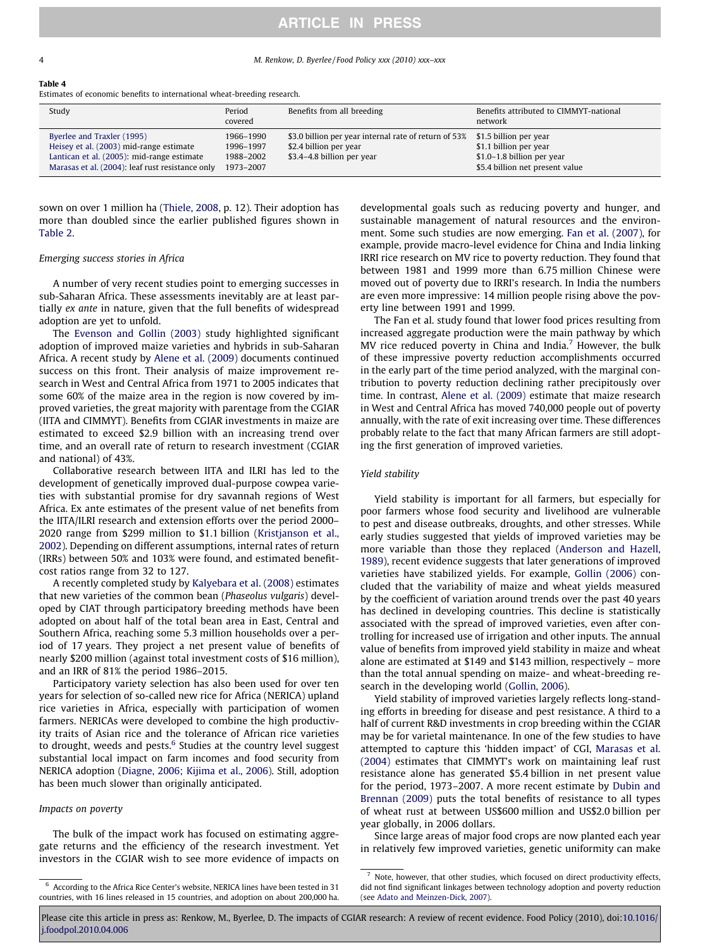#### <span id="page-3-0"></span>4 M. Renkow, D. Byerlee / Food Policy xxx (2010) xxx–xxx

#### Table 4

Estimates of economic benefits to international wheat-breeding research.

| Study                                                                                                                                                                   | Period<br>covered                                | Benefits from all breeding                                                                                    | Benefits attributed to CIMMYT-national<br>network                                                                  |
|-------------------------------------------------------------------------------------------------------------------------------------------------------------------------|--------------------------------------------------|---------------------------------------------------------------------------------------------------------------|--------------------------------------------------------------------------------------------------------------------|
| Byerlee and Traxler (1995)<br>Heisey et al. (2003) mid-range estimate<br>Lantican et al. (2005): mid-range estimate<br>Marasas et al. (2004): leaf rust resistance only | 1966-1990<br>1996-1997<br>1988-2002<br>1973-2007 | \$3.0 billion per year internal rate of return of 53%<br>\$2.4 billion per year<br>\$3.4–4.8 billion per year | \$1.5 billion per year<br>\$1.1 billion per year<br>$$1.0-1.8$ billion per year<br>\$5.4 billion net present value |

sown on over 1 million ha ([Thiele, 2008,](#page-11-0) p. 12). Their adoption has more than doubled since the earlier published figures shown in [Table 2](#page-2-0).

#### Emerging success stories in Africa

A number of very recent studies point to emerging successes in sub-Saharan Africa. These assessments inevitably are at least partially ex ante in nature, given that the full benefits of widespread adoption are yet to unfold.

The [Evenson and Gollin \(2003\)](#page-10-0) study highlighted significant adoption of improved maize varieties and hybrids in sub-Saharan Africa. A recent study by [Alene et al. \(2009\)](#page-10-0) documents continued success on this front. Their analysis of maize improvement research in West and Central Africa from 1971 to 2005 indicates that some 60% of the maize area in the region is now covered by improved varieties, the great majority with parentage from the CGIAR (IITA and CIMMYT). Benefits from CGIAR investments in maize are estimated to exceed \$2.9 billion with an increasing trend over time, and an overall rate of return to research investment (CGIAR and national) of 43%.

Collaborative research between IITA and ILRI has led to the development of genetically improved dual-purpose cowpea varieties with substantial promise for dry savannah regions of West Africa. Ex ante estimates of the present value of net benefits from the IITA/ILRI research and extension efforts over the period 2000– 2020 range from \$299 million to \$1.1 billion ([Kristjanson et al.,](#page-11-0) [2002\)](#page-11-0). Depending on different assumptions, internal rates of return (IRRs) between 50% and 103% were found, and estimated benefitcost ratios range from 32 to 127.

A recently completed study by [Kalyebara et al. \(2008\)](#page-11-0) estimates that new varieties of the common bean (Phaseolus vulgaris) developed by CIAT through participatory breeding methods have been adopted on about half of the total bean area in East, Central and Southern Africa, reaching some 5.3 million households over a period of 17 years. They project a net present value of benefits of nearly \$200 million (against total investment costs of \$16 million), and an IRR of 81% the period 1986–2015.

Participatory variety selection has also been used for over ten years for selection of so-called new rice for Africa (NERICA) upland rice varieties in Africa, especially with participation of women farmers. NERICAs were developed to combine the high productivity traits of Asian rice and the tolerance of African rice varieties to drought, weeds and pests.<sup>6</sup> Studies at the country level suggest substantial local impact on farm incomes and food security from NERICA adoption ([Diagne, 2006; Kijima et al., 2006](#page-10-0)). Still, adoption has been much slower than originally anticipated.

#### Impacts on poverty

The bulk of the impact work has focused on estimating aggregate returns and the efficiency of the research investment. Yet investors in the CGIAR wish to see more evidence of impacts on developmental goals such as reducing poverty and hunger, and sustainable management of natural resources and the environment. Some such studies are now emerging. [Fan et al. \(2007\)](#page-10-0), for example, provide macro-level evidence for China and India linking IRRI rice research on MV rice to poverty reduction. They found that between 1981 and 1999 more than 6.75 million Chinese were moved out of poverty due to IRRI's research. In India the numbers are even more impressive: 14 million people rising above the poverty line between 1991 and 1999.

The Fan et al. study found that lower food prices resulting from increased aggregate production were the main pathway by which MV rice reduced poverty in China and India.<sup>7</sup> However, the bulk of these impressive poverty reduction accomplishments occurred in the early part of the time period analyzed, with the marginal contribution to poverty reduction declining rather precipitously over time. In contrast, [Alene et al. \(2009\)](#page-10-0) estimate that maize research in West and Central Africa has moved 740,000 people out of poverty annually, with the rate of exit increasing over time. These differences probably relate to the fact that many African farmers are still adopting the first generation of improved varieties.

#### Yield stability

Yield stability is important for all farmers, but especially for poor farmers whose food security and livelihood are vulnerable to pest and disease outbreaks, droughts, and other stresses. While early studies suggested that yields of improved varieties may be more variable than those they replaced [\(Anderson and Hazell,](#page-10-0) [1989\)](#page-10-0), recent evidence suggests that later generations of improved varieties have stabilized yields. For example, [Gollin \(2006\)](#page-11-0) concluded that the variability of maize and wheat yields measured by the coefficient of variation around trends over the past 40 years has declined in developing countries. This decline is statistically associated with the spread of improved varieties, even after controlling for increased use of irrigation and other inputs. The annual value of benefits from improved yield stability in maize and wheat alone are estimated at \$149 and \$143 million, respectively – more than the total annual spending on maize- and wheat-breeding research in the developing world ([Gollin, 2006\)](#page-11-0).

Yield stability of improved varieties largely reflects long-standing efforts in breeding for disease and pest resistance. A third to a half of current R&D investments in crop breeding within the CGIAR may be for varietal maintenance. In one of the few studies to have attempted to capture this 'hidden impact' of CGI, [Marasas et al.](#page-11-0) [\(2004\)](#page-11-0) estimates that CIMMYT's work on maintaining leaf rust resistance alone has generated \$5.4 billion in net present value for the period, 1973–2007. A more recent estimate by [Dubin and](#page-10-0) [Brennan \(2009\)](#page-10-0) puts the total benefits of resistance to all types of wheat rust at between US\$600 million and US\$2.0 billion per year globally, in 2006 dollars.

Since large areas of major food crops are now planted each year in relatively few improved varieties, genetic uniformity can make

 $^{\rm 6}$  According to the Africa Rice Center's website, NERICA lines have been tested in 31 countries, with 16 lines released in 15 countries, and adoption on about 200,000 ha.

Note, however, that other studies, which focused on direct productivity effects, did not find significant linkages between technology adoption and poverty reduction (see [Adato and Meinzen-Dick, 2007\)](#page-10-0).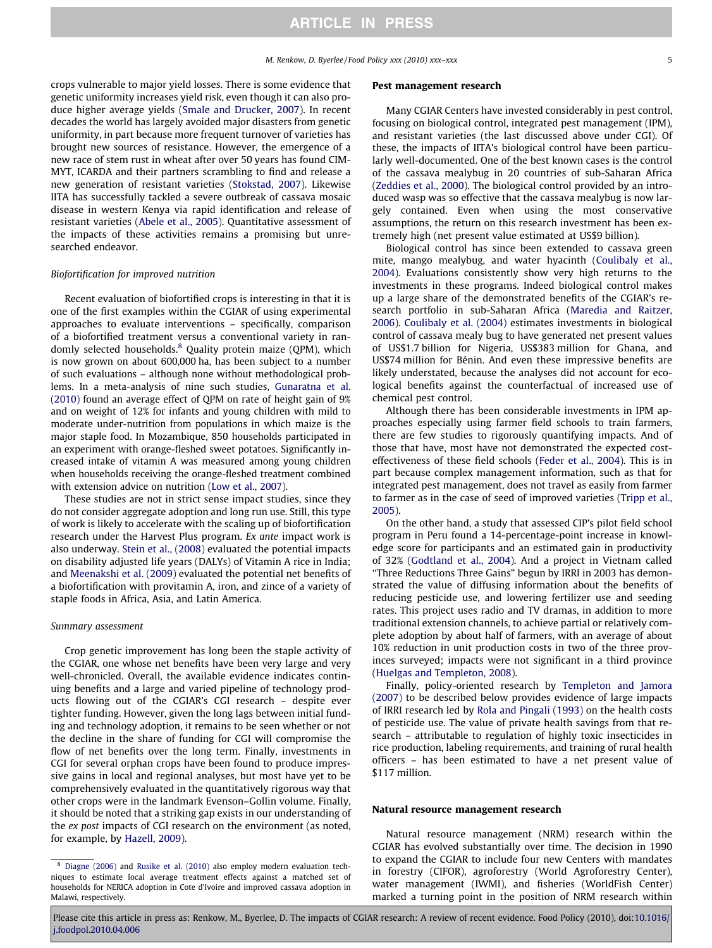crops vulnerable to major yield losses. There is some evidence that genetic uniformity increases yield risk, even though it can also produce higher average yields ([Smale and Drucker, 2007\)](#page-11-0). In recent decades the world has largely avoided major disasters from genetic uniformity, in part because more frequent turnover of varieties has brought new sources of resistance. However, the emergence of a new race of stem rust in wheat after over 50 years has found CIM-MYT, ICARDA and their partners scrambling to find and release a new generation of resistant varieties ([Stokstad, 2007\)](#page-11-0). Likewise IITA has successfully tackled a severe outbreak of cassava mosaic disease in western Kenya via rapid identification and release of resistant varieties [\(Abele et al., 2005\)](#page-10-0). Quantitative assessment of the impacts of these activities remains a promising but unresearched endeavor.

#### Biofortification for improved nutrition

Recent evaluation of biofortified crops is interesting in that it is one of the first examples within the CGIAR of using experimental approaches to evaluate interventions – specifically, comparison of a biofortified treatment versus a conventional variety in randomly selected households.<sup>8</sup> Quality protein maize (QPM), which is now grown on about 600,000 ha, has been subject to a number of such evaluations – although none without methodological problems. In a meta-analysis of nine such studies, [Gunaratna et al.](#page-11-0) [\(2010\)](#page-11-0) found an average effect of QPM on rate of height gain of 9% and on weight of 12% for infants and young children with mild to moderate under-nutrition from populations in which maize is the major staple food. In Mozambique, 850 households participated in an experiment with orange-fleshed sweet potatoes. Significantly increased intake of vitamin A was measured among young children when households receiving the orange-fleshed treatment combined with extension advice on nutrition [\(Low et al., 2007](#page-11-0)).

These studies are not in strict sense impact studies, since they do not consider aggregate adoption and long run use. Still, this type of work is likely to accelerate with the scaling up of biofortification research under the Harvest Plus program. Ex ante impact work is also underway. [Stein et al., \(2008\)](#page-11-0) evaluated the potential impacts on disability adjusted life years (DALYs) of Vitamin A rice in India; and [Meenakshi et al. \(2009\)](#page-11-0) evaluated the potential net benefits of a biofortification with provitamin A, iron, and zince of a variety of staple foods in Africa, Asia, and Latin America.

#### Summary assessment

Crop genetic improvement has long been the staple activity of the CGIAR, one whose net benefits have been very large and very well-chronicled. Overall, the available evidence indicates continuing benefits and a large and varied pipeline of technology products flowing out of the CGIAR's CGI research – despite ever tighter funding. However, given the long lags between initial funding and technology adoption, it remains to be seen whether or not the decline in the share of funding for CGI will compromise the flow of net benefits over the long term. Finally, investments in CGI for several orphan crops have been found to produce impressive gains in local and regional analyses, but most have yet to be comprehensively evaluated in the quantitatively rigorous way that other crops were in the landmark Evenson–Gollin volume. Finally, it should be noted that a striking gap exists in our understanding of the ex post impacts of CGI research on the environment (as noted, for example, by [Hazell, 2009](#page-11-0)).

#### Pest management research

Many CGIAR Centers have invested considerably in pest control, focusing on biological control, integrated pest management (IPM), and resistant varieties (the last discussed above under CGI). Of these, the impacts of IITA's biological control have been particularly well-documented. One of the best known cases is the control of the cassava mealybug in 20 countries of sub-Saharan Africa ([Zeddies et al., 2000](#page-11-0)). The biological control provided by an introduced wasp was so effective that the cassava mealybug is now largely contained. Even when using the most conservative assumptions, the return on this research investment has been extremely high (net present value estimated at US\$9 billion).

Biological control has since been extended to cassava green mite, mango mealybug, and water hyacinth ([Coulibaly et al.,](#page-10-0) [2004](#page-10-0)). Evaluations consistently show very high returns to the investments in these programs. Indeed biological control makes up a large share of the demonstrated benefits of the CGIAR's research portfolio in sub-Saharan Africa [\(Maredia and Raitzer,](#page-11-0) [2006](#page-11-0)). [Coulibaly et al. \(2004\)](#page-10-0) estimates investments in biological control of cassava mealy bug to have generated net present values of US\$1.7 billion for Nigeria, US\$383 million for Ghana, and US\$74 million for Bénin. And even these impressive benefits are likely understated, because the analyses did not account for ecological benefits against the counterfactual of increased use of chemical pest control.

Although there has been considerable investments in IPM approaches especially using farmer field schools to train farmers, there are few studies to rigorously quantifying impacts. And of those that have, most have not demonstrated the expected costeffectiveness of these field schools [\(Feder et al., 2004\)](#page-10-0). This is in part because complex management information, such as that for integrated pest management, does not travel as easily from farmer to farmer as in the case of seed of improved varieties ([Tripp et al.,](#page-11-0) [2005](#page-11-0)).

On the other hand, a study that assessed CIP's pilot field school program in Peru found a 14-percentage-point increase in knowledge score for participants and an estimated gain in productivity of 32% [\(Godtland et al., 2004](#page-11-0)). And a project in Vietnam called ''Three Reductions Three Gains" begun by IRRI in 2003 has demonstrated the value of diffusing information about the benefits of reducing pesticide use, and lowering fertilizer use and seeding rates. This project uses radio and TV dramas, in addition to more traditional extension channels, to achieve partial or relatively complete adoption by about half of farmers, with an average of about 10% reduction in unit production costs in two of the three provinces surveyed; impacts were not significant in a third province ([Huelgas and Templeton, 2008](#page-11-0)).

Finally, policy-oriented research by [Templeton and Jamora](#page-11-0) [\(2007\)](#page-11-0) to be described below provides evidence of large impacts of IRRI research led by Rola and [Pingali \(1993\)](#page-11-0) on the health costs of pesticide use. The value of private health savings from that research – attributable to regulation of highly toxic insecticides in rice production, labeling requirements, and training of rural health officers – has been estimated to have a net present value of \$117 million.

#### Natural resource management research

Natural resource management (NRM) research within the CGIAR has evolved substantially over time. The decision in 1990 to expand the CGIAR to include four new Centers with mandates in forestry (CIFOR), agroforestry (World Agroforestry Center), water management (IWMI), and fisheries (WorldFish Center) marked a turning point in the position of NRM research within

<sup>8</sup> [Diagne \(2006\)](#page-10-0) and [Rusike et al. \(2010\)](#page-11-0) also employ modern evaluation techniques to estimate local average treatment effects against a matched set of households for NERICA adoption in Cote d'Ivoire and improved cassava adoption in Malawi, respectively.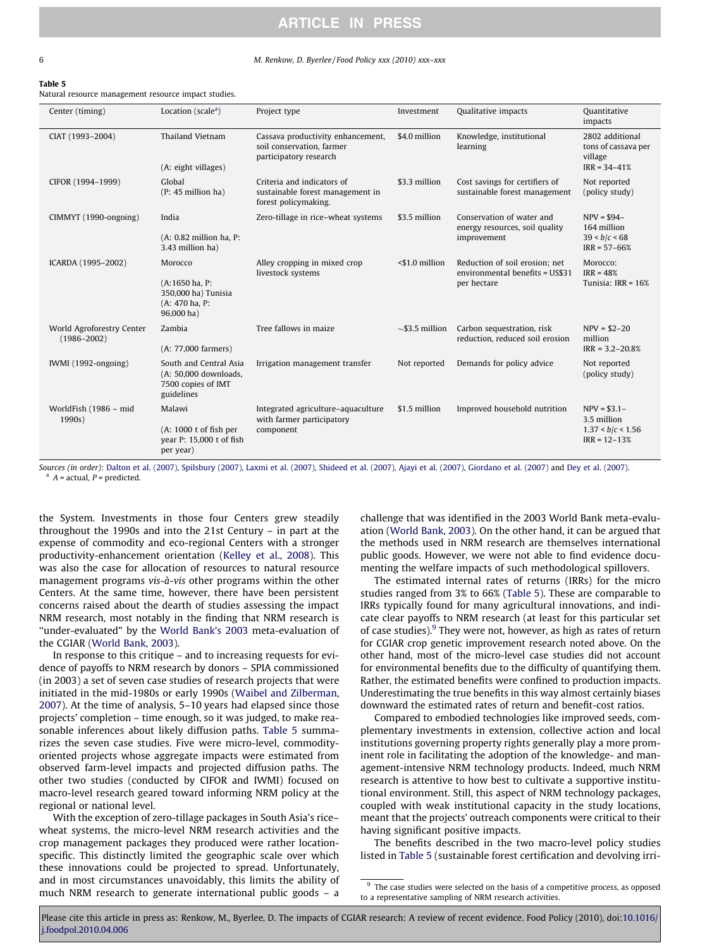#### 6 M. Renkow, D. Byerlee / Food Policy xxx (2010) xxx–xxx

#### Table 5

Natural resource management resource impact studies.

| Center (timing)                              | Location ( $scalea$ )                                                               | Project type                                                                             | Investment           | Qualitative impacts                                               | Quantitative<br>impacts                           |  |
|----------------------------------------------|-------------------------------------------------------------------------------------|------------------------------------------------------------------------------------------|----------------------|-------------------------------------------------------------------|---------------------------------------------------|--|
| CIAT (1993-2004)                             | <b>Thailand Vietnam</b>                                                             | Cassava productivity enhancement,<br>soil conservation, farmer<br>participatory research | \$4.0 million        | Knowledge, institutional<br>learning                              | 2802 additional<br>tons of cassava per<br>village |  |
|                                              | (A: eight villages)                                                                 |                                                                                          |                      |                                                                   | $IRR = 34 - 41%$                                  |  |
| CIFOR (1994-1999)                            | Global<br>$(P: 45$ million ha)                                                      | Criteria and indicators of<br>sustainable forest management in<br>forest policymaking.   | \$3.3 million        | Cost savings for certifiers of<br>sustainable forest management   | Not reported<br>(policy study)                    |  |
| CIMMYT (1990-ongoing)                        | India                                                                               | Zero-tillage in rice-wheat systems                                                       | \$3.5 million        | Conservation of water and                                         | $NPV = $94 -$                                     |  |
|                                              | $(A: 0.82$ million ha, P:<br>3.43 million ha)                                       |                                                                                          |                      | energy resources, soil quality<br>improvement                     | 164 million<br>39 < b/c < 68<br>$IRR = 57 - 66%$  |  |
| ICARDA (1995-2002)                           | Morocco                                                                             | Alley cropping in mixed crop<br>livestock systems                                        | <\$1.0 million       | Reduction of soil erosion; net<br>environmental benefits = US\$31 | Morocco:<br>$IRR = 48%$                           |  |
|                                              | $(A:1650$ ha, P:<br>350,000 ha) Tunisia<br>(A: 470 ha, P:<br>96,000 ha)             |                                                                                          |                      | per hectare                                                       | Tunisia: IRR = $16\%$                             |  |
| World Agroforestry Center<br>$(1986 - 2002)$ | Zambia                                                                              | Tree fallows in maize                                                                    | $\sim$ \$3.5 million | Carbon sequestration, risk<br>reduction, reduced soil erosion     | $NPV = $2 - 20$<br>million                        |  |
|                                              | (A: 77,000 farmers)                                                                 |                                                                                          |                      |                                                                   | $IRR = 3.2 - 20.8%$                               |  |
| IWMI (1992-ongoing)                          | South and Central Asia<br>(A: 50,000 downloads,<br>7500 copies of IMT<br>guidelines | Irrigation management transfer                                                           | Not reported         | Demands for policy advice                                         | Not reported<br>(policy study)                    |  |
| WorldFish (1986 - mid<br>1990s)              | Malawi                                                                              | Integrated agriculture-aquaculture<br>with farmer participatory                          | \$1.5 million        | Improved household nutrition                                      | $NPV = $3.1 -$<br>3.5 million                     |  |
|                                              | (A: 1000 t of fish per)<br>year P: 15,000 t of fish<br>per year)                    | component                                                                                |                      |                                                                   | 1.37 < b/c < 1.56<br>$IRR = 12 - 13%$             |  |

Sources (in order): [Dalton et al. \(2007\), Spilsbury \(2007\), Laxmi et al. \(2007\), Shideed et al. \(2007\), Ajayi et al. \(2007\), Giordano et al. \(2007\)](#page-10-0) and [Dey et al. \(2007\)](#page-10-0).  $A = actual$ ,  $P = predicted$ .

the System. Investments in those four Centers grew steadily throughout the 1990s and into the 21st Century – in part at the expense of commodity and eco-regional Centers with a stronger productivity-enhancement orientation ([Kelley et al., 2008](#page-11-0)). This was also the case for allocation of resources to natural resource management programs vis-à-vis other programs within the other Centers. At the same time, however, there have been persistent concerns raised about the dearth of studies assessing the impact NRM research, most notably in the finding that NRM research is ''under-evaluated" by the [World Bank's 2003](#page-11-0) meta-evaluation of the CGIAR ([World Bank, 2003](#page-11-0)).

In response to this critique – and to increasing requests for evidence of payoffs to NRM research by donors – SPIA commissioned (in 2003) a set of seven case studies of research projects that were initiated in the mid-1980s or early 1990s ([Waibel and Zilberman,](#page-11-0) [2007\)](#page-11-0). At the time of analysis, 5–10 years had elapsed since those projects' completion – time enough, so it was judged, to make reasonable inferences about likely diffusion paths. Table 5 summarizes the seven case studies. Five were micro-level, commodityoriented projects whose aggregate impacts were estimated from observed farm-level impacts and projected diffusion paths. The other two studies (conducted by CIFOR and IWMI) focused on macro-level research geared toward informing NRM policy at the regional or national level.

With the exception of zero-tillage packages in South Asia's rice– wheat systems, the micro-level NRM research activities and the crop management packages they produced were rather locationspecific. This distinctly limited the geographic scale over which these innovations could be projected to spread. Unfortunately, and in most circumstances unavoidably, this limits the ability of much NRM research to generate international public goods – a challenge that was identified in the 2003 World Bank meta-evaluation [\(World Bank, 2003](#page-11-0)). On the other hand, it can be argued that the methods used in NRM research are themselves international public goods. However, we were not able to find evidence documenting the welfare impacts of such methodological spillovers.

The estimated internal rates of returns (IRRs) for the micro studies ranged from 3% to 66% (Table 5). These are comparable to IRRs typically found for many agricultural innovations, and indicate clear payoffs to NRM research (at least for this particular set of case studies).<sup>9</sup> They were not, however, as high as rates of return for CGIAR crop genetic improvement research noted above. On the other hand, most of the micro-level case studies did not account for environmental benefits due to the difficulty of quantifying them. Rather, the estimated benefits were confined to production impacts. Underestimating the true benefits in this way almost certainly biases downward the estimated rates of return and benefit-cost ratios.

Compared to embodied technologies like improved seeds, complementary investments in extension, collective action and local institutions governing property rights generally play a more prominent role in facilitating the adoption of the knowledge- and management-intensive NRM technology products. Indeed, much NRM research is attentive to how best to cultivate a supportive institutional environment. Still, this aspect of NRM technology packages, coupled with weak institutional capacity in the study locations, meant that the projects' outreach components were critical to their having significant positive impacts.

The benefits described in the two macro-level policy studies listed in Table 5 (sustainable forest certification and devolving irri-

 $9$  The case studies were selected on the basis of a competitive process, as opposed to a representative sampling of NRM research activities.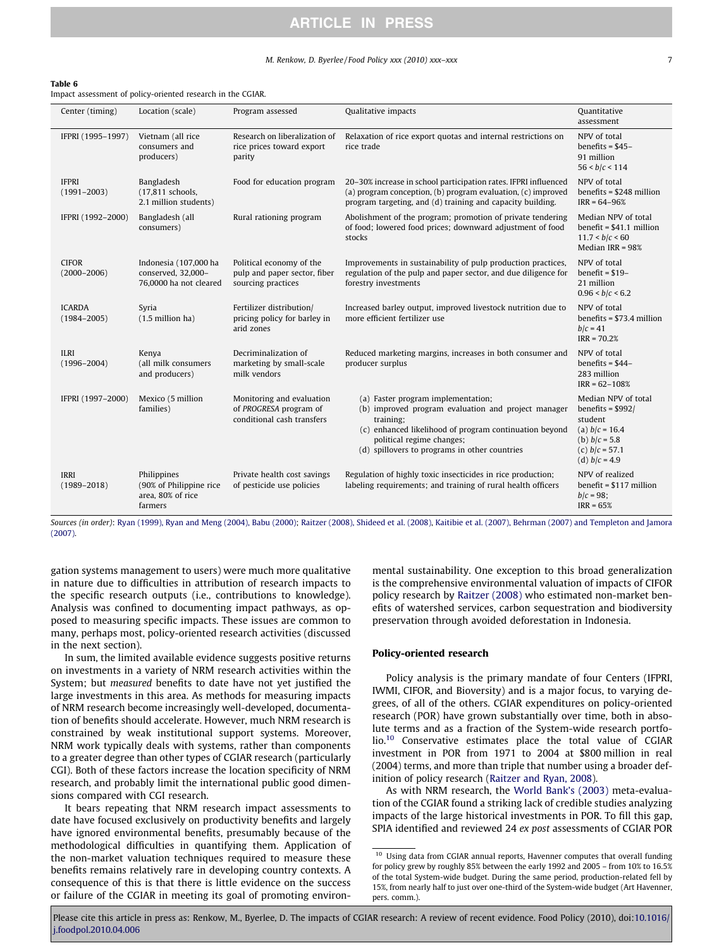#### M. Renkow, D. Byerlee / Food Policy xxx (2010) xxx–xxx 7

#### <span id="page-6-0"></span>Table 6

Impact assessment of policy-oriented research in the CGIAR.

| Center (timing)                  | Location (scale)                                                       | Program assessed                                                                  | Qualitative impacts                                                                                                                                                                                                                            | Quantitative<br>assessment                                                                                                         |
|----------------------------------|------------------------------------------------------------------------|-----------------------------------------------------------------------------------|------------------------------------------------------------------------------------------------------------------------------------------------------------------------------------------------------------------------------------------------|------------------------------------------------------------------------------------------------------------------------------------|
| IFPRI (1995-1997)                | Vietnam (all rice<br>consumers and<br>producers)                       | Research on liberalization of<br>rice prices toward export<br>parity              | Relaxation of rice export quotas and internal restrictions on<br>rice trade                                                                                                                                                                    | NPV of total<br>benefits = $$45-$<br>91 million<br>56 < b/c < 114                                                                  |
| <b>IFPRI</b><br>$(1991 - 2003)$  | Bangladesh<br>(17,811 schools,<br>2.1 million students)                | Food for education program                                                        | 20-30% increase in school participation rates. IFPRI influenced<br>$(a)$ program conception, $(b)$ program evaluation, $(c)$ improved<br>program targeting, and (d) training and capacity building.                                            | NPV of total<br>benefits = $$248$ million<br>$IRR = 64 - 96%$                                                                      |
| IFPRI (1992-2000)                | Bangladesh (all<br>consumers)                                          | Rural rationing program                                                           | Abolishment of the program; promotion of private tendering<br>of food; lowered food prices; downward adjustment of food<br>stocks                                                                                                              | Median NPV of total<br>benefit = $$41.1$ million<br>11.7 < b/c < 60<br>Median IRR = $98\%$                                         |
| <b>CIFOR</b><br>$(2000 - 2006)$  | Indonesia (107,000 ha<br>conserved, 32,000-<br>76,0000 ha not cleared  | Political economy of the<br>pulp and paper sector, fiber<br>sourcing practices    | Improvements in sustainability of pulp production practices,<br>regulation of the pulp and paper sector, and due diligence for<br>forestry investments                                                                                         | NPV of total<br>benefit = $$19-$<br>21 million<br>0.96 < b/c < 6.2                                                                 |
| <b>ICARDA</b><br>$(1984 - 2005)$ | Syria<br>$(1.5$ million ha)                                            | Fertilizer distribution/<br>pricing policy for barley in<br>arid zones            | Increased barley output, improved livestock nutrition due to<br>more efficient fertilizer use                                                                                                                                                  | NPV of total<br>benefits = $$73.4$ million<br>$b/c = 41$<br>$IRR = 70.2%$                                                          |
| <b>ILRI</b><br>$(1996 - 2004)$   | Kenya<br>(all milk consumers<br>and producers)                         | Decriminalization of<br>marketing by small-scale<br>milk vendors                  | Reduced marketing margins, increases in both consumer and<br>producer surplus                                                                                                                                                                  | NPV of total<br>benefits = $$44-$<br>283 million<br>$IRR = 62 - 108%$                                                              |
| IFPRI (1997-2000)                | Mexico (5 million<br>families)                                         | Monitoring and evaluation<br>of PROGRESA program of<br>conditional cash transfers | (a) Faster program implementation;<br>(b) improved program evaluation and project manager<br>training;<br>(c) enhanced likelihood of program continuation beyond<br>political regime changes;<br>(d) spillovers to programs in other countries | Median NPV of total<br>benefits = $$992/$<br>student<br>(a) $b/c = 16.4$<br>(b) $b/c = 5.8$<br>(c) $b/c = 57.1$<br>(d) $b/c = 4.9$ |
| <b>IRRI</b><br>$(1989 - 2018)$   | Philippines<br>(90% of Philippine rice<br>area, 80% of rice<br>farmers | Private health cost savings<br>of pesticide use policies                          | Regulation of highly toxic insecticides in rice production;<br>labeling requirements; and training of rural health officers                                                                                                                    | NPV of realized<br>benefit = $$117$ million<br>$b/c = 98$ ;<br>$IRR = 65%$                                                         |

Sources (in order): [Ryan \(1999\), Ryan and Meng \(2004\), Babu \(2000\);](#page-11-0) [Raitzer \(2008\), Shideed et al. \(2008\),](#page-11-0) [Kaitibie et al. \(2007\), Behrman \(2007\) and Templeton and Jamora](#page-11-0) [\(2007\)](#page-11-0).

gation systems management to users) were much more qualitative in nature due to difficulties in attribution of research impacts to the specific research outputs (i.e., contributions to knowledge). Analysis was confined to documenting impact pathways, as opposed to measuring specific impacts. These issues are common to many, perhaps most, policy-oriented research activities (discussed in the next section).

In sum, the limited available evidence suggests positive returns on investments in a variety of NRM research activities within the System; but measured benefits to date have not yet justified the large investments in this area. As methods for measuring impacts of NRM research become increasingly well-developed, documentation of benefits should accelerate. However, much NRM research is constrained by weak institutional support systems. Moreover, NRM work typically deals with systems, rather than components to a greater degree than other types of CGIAR research (particularly CGI). Both of these factors increase the location specificity of NRM research, and probably limit the international public good dimensions compared with CGI research.

It bears repeating that NRM research impact assessments to date have focused exclusively on productivity benefits and largely have ignored environmental benefits, presumably because of the methodological difficulties in quantifying them. Application of the non-market valuation techniques required to measure these benefits remains relatively rare in developing country contexts. A consequence of this is that there is little evidence on the success or failure of the CGIAR in meeting its goal of promoting environmental sustainability. One exception to this broad generalization is the comprehensive environmental valuation of impacts of CIFOR policy research by [Raitzer \(2008\)](#page-11-0) who estimated non-market benefits of watershed services, carbon sequestration and biodiversity preservation through avoided deforestation in Indonesia.

#### Policy-oriented research

Policy analysis is the primary mandate of four Centers (IFPRI, IWMI, CIFOR, and Bioversity) and is a major focus, to varying degrees, of all of the others. CGIAR expenditures on policy-oriented research (POR) have grown substantially over time, both in absolute terms and as a fraction of the System-wide research portfolio.10 Conservative estimates place the total value of CGIAR investment in POR from 1971 to 2004 at \$800 million in real (2004) terms, and more than triple that number using a broader definition of policy research ([Raitzer and Ryan, 2008](#page-11-0)).

As with NRM research, the [World Bank's \(2003\)](#page-11-0) meta-evaluation of the CGIAR found a striking lack of credible studies analyzing impacts of the large historical investments in POR. To fill this gap, SPIA identified and reviewed 24 ex post assessments of CGIAR POR

<sup>&</sup>lt;sup>10</sup> Using data from CGIAR annual reports, Havenner computes that overall funding for policy grew by roughly 85% between the early 1992 and 2005 – from 10% to 16.5% of the total System-wide budget. During the same period, production-related fell by 15%, from nearly half to just over one-third of the System-wide budget (Art Havenner, pers. comm.).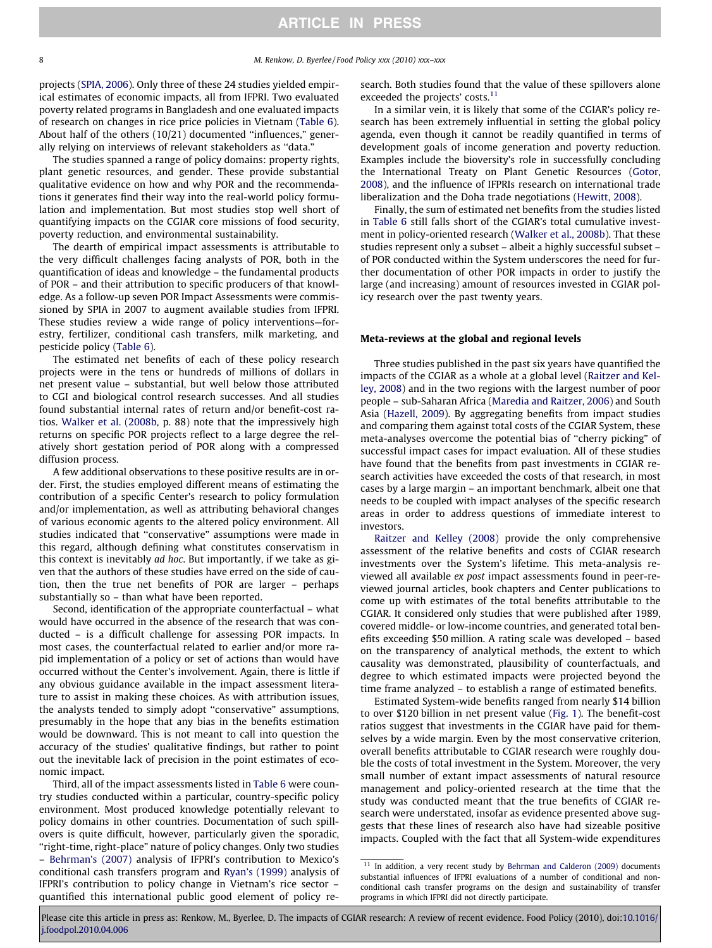projects ([SPIA, 2006](#page-11-0)). Only three of these 24 studies yielded empirical estimates of economic impacts, all from IFPRI. Two evaluated poverty related programs in Bangladesh and one evaluated impacts of research on changes in rice price policies in Vietnam ([Table 6\)](#page-6-0). About half of the others (10/21) documented ''influences," generally relying on interviews of relevant stakeholders as ''data."

The studies spanned a range of policy domains: property rights, plant genetic resources, and gender. These provide substantial qualitative evidence on how and why POR and the recommendations it generates find their way into the real-world policy formulation and implementation. But most studies stop well short of quantifying impacts on the CGIAR core missions of food security, poverty reduction, and environmental sustainability.

The dearth of empirical impact assessments is attributable to the very difficult challenges facing analysts of POR, both in the quantification of ideas and knowledge – the fundamental products of POR – and their attribution to specific producers of that knowledge. As a follow-up seven POR Impact Assessments were commissioned by SPIA in 2007 to augment available studies from IFPRI. These studies review a wide range of policy interventions—forestry, fertilizer, conditional cash transfers, milk marketing, and pesticide policy ([Table 6](#page-6-0)).

The estimated net benefits of each of these policy research projects were in the tens or hundreds of millions of dollars in net present value – substantial, but well below those attributed to CGI and biological control research successes. And all studies found substantial internal rates of return and/or benefit-cost ratios. [Walker et al. \(2008b](#page-11-0), p. 88) note that the impressively high returns on specific POR projects reflect to a large degree the relatively short gestation period of POR along with a compressed diffusion process.

A few additional observations to these positive results are in order. First, the studies employed different means of estimating the contribution of a specific Center's research to policy formulation and/or implementation, as well as attributing behavioral changes of various economic agents to the altered policy environment. All studies indicated that ''conservative" assumptions were made in this regard, although defining what constitutes conservatism in this context is inevitably ad hoc. But importantly, if we take as given that the authors of these studies have erred on the side of caution, then the true net benefits of POR are larger – perhaps substantially so – than what have been reported.

Second, identification of the appropriate counterfactual – what would have occurred in the absence of the research that was conducted – is a difficult challenge for assessing POR impacts. In most cases, the counterfactual related to earlier and/or more rapid implementation of a policy or set of actions than would have occurred without the Center's involvement. Again, there is little if any obvious guidance available in the impact assessment literature to assist in making these choices. As with attribution issues, the analysts tended to simply adopt ''conservative" assumptions, presumably in the hope that any bias in the benefits estimation would be downward. This is not meant to call into question the accuracy of the studies' qualitative findings, but rather to point out the inevitable lack of precision in the point estimates of economic impact.

Third, all of the impact assessments listed in [Table 6](#page-6-0) were country studies conducted within a particular, country-specific policy environment. Most produced knowledge potentially relevant to policy domains in other countries. Documentation of such spillovers is quite difficult, however, particularly given the sporadic, ''right-time, right-place" nature of policy changes. Only two studies – [Behrman's \(2007\)](#page-10-0) analysis of IFPRI's contribution to Mexico's conditional cash transfers program and [Ryan's \(1999\)](#page-11-0) analysis of IFPRI's contribution to policy change in Vietnam's rice sector – quantified this international public good element of policy research. Both studies found that the value of these spillovers alone exceeded the projects' costs.<sup>11</sup>

In a similar vein, it is likely that some of the CGIAR's policy research has been extremely influential in setting the global policy agenda, even though it cannot be readily quantified in terms of development goals of income generation and poverty reduction. Examples include the bioversity's role in successfully concluding the International Treaty on Plant Genetic Resources ([Gotor,](#page-11-0) [2008\)](#page-11-0), and the influence of IFPRIs research on international trade liberalization and the Doha trade negotiations ([Hewitt, 2008](#page-11-0)).

Finally, the sum of estimated net benefits from the studies listed in [Table 6](#page-6-0) still falls short of the CGIAR's total cumulative investment in policy-oriented research ([Walker et al., 2008b](#page-11-0)). That these studies represent only a subset – albeit a highly successful subset – of POR conducted within the System underscores the need for further documentation of other POR impacts in order to justify the large (and increasing) amount of resources invested in CGIAR policy research over the past twenty years.

#### Meta-reviews at the global and regional levels

Three studies published in the past six years have quantified the impacts of the CGIAR as a whole at a global level [\(Raitzer and Kel](#page-11-0)[ley, 2008](#page-11-0)) and in the two regions with the largest number of poor people – sub-Saharan Africa ([Maredia and Raitzer, 2006\)](#page-11-0) and South Asia [\(Hazell, 2009\)](#page-11-0). By aggregating benefits from impact studies and comparing them against total costs of the CGIAR System, these meta-analyses overcome the potential bias of ''cherry picking" of successful impact cases for impact evaluation. All of these studies have found that the benefits from past investments in CGIAR research activities have exceeded the costs of that research, in most cases by a large margin – an important benchmark, albeit one that needs to be coupled with impact analyses of the specific research areas in order to address questions of immediate interest to investors.

[Raitzer and Kelley \(2008\)](#page-11-0) provide the only comprehensive assessment of the relative benefits and costs of CGIAR research investments over the System's lifetime. This meta-analysis reviewed all available ex post impact assessments found in peer-reviewed journal articles, book chapters and Center publications to come up with estimates of the total benefits attributable to the CGIAR. It considered only studies that were published after 1989, covered middle- or low-income countries, and generated total benefits exceeding \$50 million. A rating scale was developed – based on the transparency of analytical methods, the extent to which causality was demonstrated, plausibility of counterfactuals, and degree to which estimated impacts were projected beyond the time frame analyzed – to establish a range of estimated benefits.

Estimated System-wide benefits ranged from nearly \$14 billion to over \$120 billion in net present value ([Fig. 1](#page-8-0)). The benefit-cost ratios suggest that investments in the CGIAR have paid for themselves by a wide margin. Even by the most conservative criterion, overall benefits attributable to CGIAR research were roughly double the costs of total investment in the System. Moreover, the very small number of extant impact assessments of natural resource management and policy-oriented research at the time that the study was conducted meant that the true benefits of CGIAR research were understated, insofar as evidence presented above suggests that these lines of research also have had sizeable positive impacts. Coupled with the fact that all System-wide expenditures

 $11$  In addition, a very recent study by [Behrman and Calderon \(2009\)](#page-10-0) documents substantial influences of IFPRI evaluations of a number of conditional and nonconditional cash transfer programs on the design and sustainability of transfer programs in which IFPRI did not directly participate.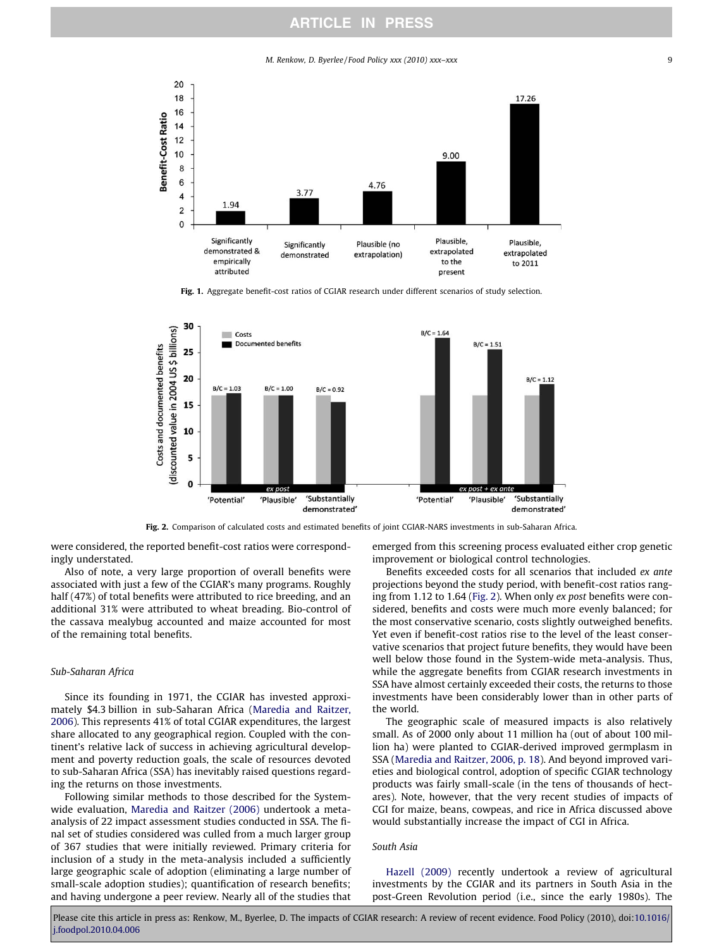M. Renkow, D. Byerlee / Food Policy xxx (2010) xxx–xxx 9

<span id="page-8-0"></span>

Fig. 1. Aggregate benefit-cost ratios of CGIAR research under different scenarios of study selection.



Fig. 2. Comparison of calculated costs and estimated benefits of joint CGIAR-NARS investments in sub-Saharan Africa.

were considered, the reported benefit-cost ratios were correspondingly understated.

Also of note, a very large proportion of overall benefits were associated with just a few of the CGIAR's many programs. Roughly half (47%) of total benefits were attributed to rice breeding, and an additional 31% were attributed to wheat breading. Bio-control of the cassava mealybug accounted and maize accounted for most of the remaining total benefits.

### Sub-Saharan Africa

Since its founding in 1971, the CGIAR has invested approximately \$4.3 billion in sub-Saharan Africa ([Maredia and Raitzer,](#page-11-0) [2006](#page-11-0)). This represents 41% of total CGIAR expenditures, the largest share allocated to any geographical region. Coupled with the continent's relative lack of success in achieving agricultural development and poverty reduction goals, the scale of resources devoted to sub-Saharan Africa (SSA) has inevitably raised questions regarding the returns on those investments.

Following similar methods to those described for the Systemwide evaluation, [Maredia and Raitzer \(2006\)](#page-11-0) undertook a metaanalysis of 22 impact assessment studies conducted in SSA. The final set of studies considered was culled from a much larger group of 367 studies that were initially reviewed. Primary criteria for inclusion of a study in the meta-analysis included a sufficiently large geographic scale of adoption (eliminating a large number of small-scale adoption studies); quantification of research benefits; and having undergone a peer review. Nearly all of the studies that emerged from this screening process evaluated either crop genetic improvement or biological control technologies.

Benefits exceeded costs for all scenarios that included ex ante projections beyond the study period, with benefit-cost ratios ranging from 1.12 to 1.64 (Fig. 2). When only ex post benefits were considered, benefits and costs were much more evenly balanced; for the most conservative scenario, costs slightly outweighed benefits. Yet even if benefit-cost ratios rise to the level of the least conservative scenarios that project future benefits, they would have been well below those found in the System-wide meta-analysis. Thus, while the aggregate benefits from CGIAR research investments in SSA have almost certainly exceeded their costs, the returns to those investments have been considerably lower than in other parts of the world.

The geographic scale of measured impacts is also relatively small. As of 2000 only about 11 million ha (out of about 100 million ha) were planted to CGIAR-derived improved germplasm in SSA ([Maredia and Raitzer, 2006, p. 18\)](#page-11-0). And beyond improved varieties and biological control, adoption of specific CGIAR technology products was fairly small-scale (in the tens of thousands of hectares). Note, however, that the very recent studies of impacts of CGI for maize, beans, cowpeas, and rice in Africa discussed above would substantially increase the impact of CGI in Africa.

#### South Asia

[Hazell \(2009\)](#page-11-0) recently undertook a review of agricultural investments by the CGIAR and its partners in South Asia in the post-Green Revolution period (i.e., since the early 1980s). The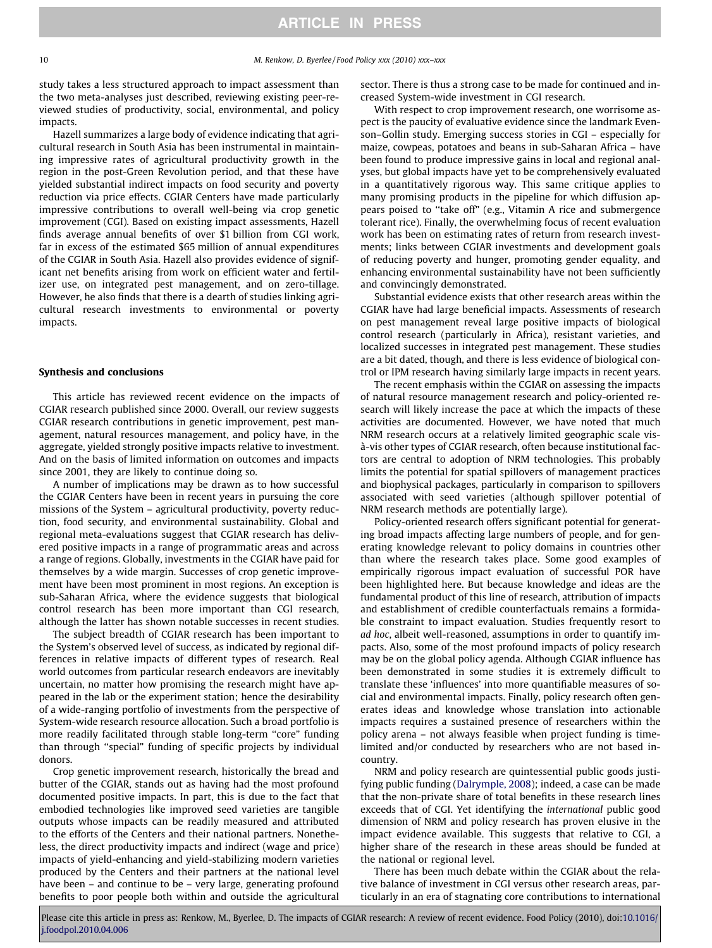study takes a less structured approach to impact assessment than the two meta-analyses just described, reviewing existing peer-reviewed studies of productivity, social, environmental, and policy impacts.

Hazell summarizes a large body of evidence indicating that agricultural research in South Asia has been instrumental in maintaining impressive rates of agricultural productivity growth in the region in the post-Green Revolution period, and that these have yielded substantial indirect impacts on food security and poverty reduction via price effects. CGIAR Centers have made particularly impressive contributions to overall well-being via crop genetic improvement (CGI). Based on existing impact assessments, Hazell finds average annual benefits of over \$1 billion from CGI work, far in excess of the estimated \$65 million of annual expenditures of the CGIAR in South Asia. Hazell also provides evidence of significant net benefits arising from work on efficient water and fertilizer use, on integrated pest management, and on zero-tillage. However, he also finds that there is a dearth of studies linking agricultural research investments to environmental or poverty impacts.

#### Synthesis and conclusions

This article has reviewed recent evidence on the impacts of CGIAR research published since 2000. Overall, our review suggests CGIAR research contributions in genetic improvement, pest management, natural resources management, and policy have, in the aggregate, yielded strongly positive impacts relative to investment. And on the basis of limited information on outcomes and impacts since 2001, they are likely to continue doing so.

A number of implications may be drawn as to how successful the CGIAR Centers have been in recent years in pursuing the core missions of the System – agricultural productivity, poverty reduction, food security, and environmental sustainability. Global and regional meta-evaluations suggest that CGIAR research has delivered positive impacts in a range of programmatic areas and across a range of regions. Globally, investments in the CGIAR have paid for themselves by a wide margin. Successes of crop genetic improvement have been most prominent in most regions. An exception is sub-Saharan Africa, where the evidence suggests that biological control research has been more important than CGI research, although the latter has shown notable successes in recent studies.

The subject breadth of CGIAR research has been important to the System's observed level of success, as indicated by regional differences in relative impacts of different types of research. Real world outcomes from particular research endeavors are inevitably uncertain, no matter how promising the research might have appeared in the lab or the experiment station; hence the desirability of a wide-ranging portfolio of investments from the perspective of System-wide research resource allocation. Such a broad portfolio is more readily facilitated through stable long-term ''core" funding than through ''special" funding of specific projects by individual donors.

Crop genetic improvement research, historically the bread and butter of the CGIAR, stands out as having had the most profound documented positive impacts. In part, this is due to the fact that embodied technologies like improved seed varieties are tangible outputs whose impacts can be readily measured and attributed to the efforts of the Centers and their national partners. Nonetheless, the direct productivity impacts and indirect (wage and price) impacts of yield-enhancing and yield-stabilizing modern varieties produced by the Centers and their partners at the national level have been – and continue to be – very large, generating profound benefits to poor people both within and outside the agricultural sector. There is thus a strong case to be made for continued and increased System-wide investment in CGI research.

With respect to crop improvement research, one worrisome aspect is the paucity of evaluative evidence since the landmark Evenson–Gollin study. Emerging success stories in CGI – especially for maize, cowpeas, potatoes and beans in sub-Saharan Africa – have been found to produce impressive gains in local and regional analyses, but global impacts have yet to be comprehensively evaluated in a quantitatively rigorous way. This same critique applies to many promising products in the pipeline for which diffusion appears poised to ''take off" (e.g., Vitamin A rice and submergence tolerant rice). Finally, the overwhelming focus of recent evaluation work has been on estimating rates of return from research investments; links between CGIAR investments and development goals of reducing poverty and hunger, promoting gender equality, and enhancing environmental sustainability have not been sufficiently and convincingly demonstrated.

Substantial evidence exists that other research areas within the CGIAR have had large beneficial impacts. Assessments of research on pest management reveal large positive impacts of biological control research (particularly in Africa), resistant varieties, and localized successes in integrated pest management. These studies are a bit dated, though, and there is less evidence of biological control or IPM research having similarly large impacts in recent years.

The recent emphasis within the CGIAR on assessing the impacts of natural resource management research and policy-oriented research will likely increase the pace at which the impacts of these activities are documented. However, we have noted that much NRM research occurs at a relatively limited geographic scale visà-vis other types of CGIAR research, often because institutional factors are central to adoption of NRM technologies. This probably limits the potential for spatial spillovers of management practices and biophysical packages, particularly in comparison to spillovers associated with seed varieties (although spillover potential of NRM research methods are potentially large).

Policy-oriented research offers significant potential for generating broad impacts affecting large numbers of people, and for generating knowledge relevant to policy domains in countries other than where the research takes place. Some good examples of empirically rigorous impact evaluation of successful POR have been highlighted here. But because knowledge and ideas are the fundamental product of this line of research, attribution of impacts and establishment of credible counterfactuals remains a formidable constraint to impact evaluation. Studies frequently resort to ad hoc, albeit well-reasoned, assumptions in order to quantify impacts. Also, some of the most profound impacts of policy research may be on the global policy agenda. Although CGIAR influence has been demonstrated in some studies it is extremely difficult to translate these 'influences' into more quantifiable measures of social and environmental impacts. Finally, policy research often generates ideas and knowledge whose translation into actionable impacts requires a sustained presence of researchers within the policy arena – not always feasible when project funding is timelimited and/or conducted by researchers who are not based incountry.

NRM and policy research are quintessential public goods justifying public funding [\(Dalrymple, 2008](#page-10-0)); indeed, a case can be made that the non-private share of total benefits in these research lines exceeds that of CGI. Yet identifying the international public good dimension of NRM and policy research has proven elusive in the impact evidence available. This suggests that relative to CGI, a higher share of the research in these areas should be funded at the national or regional level.

There has been much debate within the CGIAR about the relative balance of investment in CGI versus other research areas, particularly in an era of stagnating core contributions to international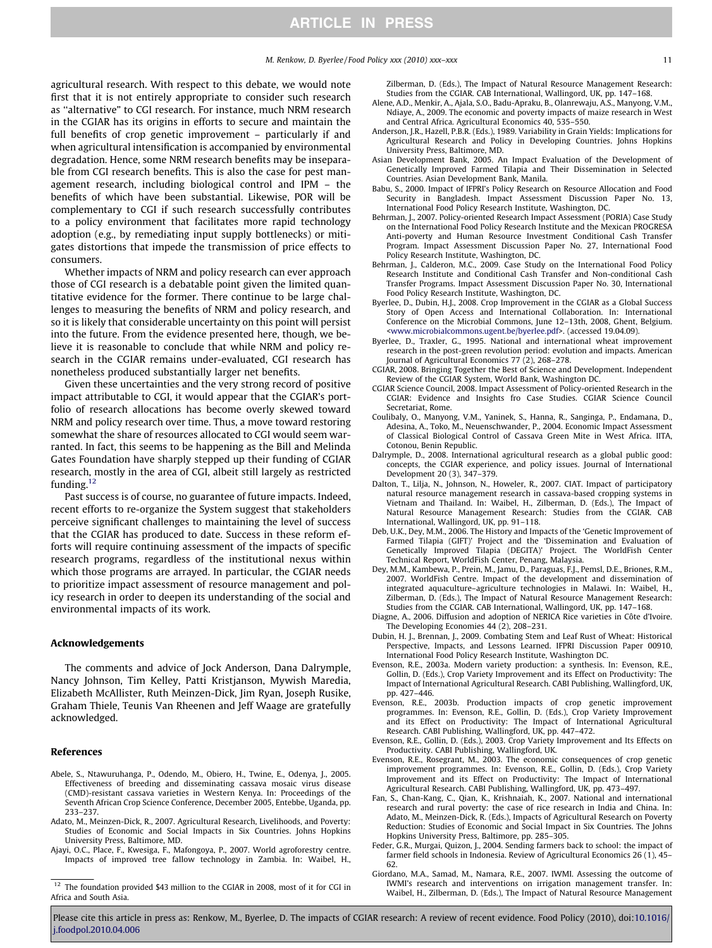#### M. Renkow, D. Byerlee / Food Policy xxx (2010) xxx–xxx 11

<span id="page-10-0"></span>agricultural research. With respect to this debate, we would note first that it is not entirely appropriate to consider such research as ''alternative" to CGI research. For instance, much NRM research in the CGIAR has its origins in efforts to secure and maintain the full benefits of crop genetic improvement – particularly if and when agricultural intensification is accompanied by environmental degradation. Hence, some NRM research benefits may be inseparable from CGI research benefits. This is also the case for pest management research, including biological control and IPM – the benefits of which have been substantial. Likewise, POR will be complementary to CGI if such research successfully contributes to a policy environment that facilitates more rapid technology adoption (e.g., by remediating input supply bottlenecks) or mitigates distortions that impede the transmission of price effects to consumers.

Whether impacts of NRM and policy research can ever approach those of CGI research is a debatable point given the limited quantitative evidence for the former. There continue to be large challenges to measuring the benefits of NRM and policy research, and so it is likely that considerable uncertainty on this point will persist into the future. From the evidence presented here, though, we believe it is reasonable to conclude that while NRM and policy research in the CGIAR remains under-evaluated, CGI research has nonetheless produced substantially larger net benefits.

Given these uncertainties and the very strong record of positive impact attributable to CGI, it would appear that the CGIAR's portfolio of research allocations has become overly skewed toward NRM and policy research over time. Thus, a move toward restoring somewhat the share of resources allocated to CGI would seem warranted. In fact, this seems to be happening as the Bill and Melinda Gates Foundation have sharply stepped up their funding of CGIAR research, mostly in the area of CGI, albeit still largely as restricted funding.<sup>12</sup>

Past success is of course, no guarantee of future impacts. Indeed, recent efforts to re-organize the System suggest that stakeholders perceive significant challenges to maintaining the level of success that the CGIAR has produced to date. Success in these reform efforts will require continuing assessment of the impacts of specific research programs, regardless of the institutional nexus within which those programs are arrayed. In particular, the CGIAR needs to prioritize impact assessment of resource management and policy research in order to deepen its understanding of the social and environmental impacts of its work.

#### Acknowledgements

The comments and advice of Jock Anderson, Dana Dalrymple, Nancy Johnson, Tim Kelley, Patti Kristjanson, Mywish Maredia, Elizabeth McAllister, Ruth Meinzen-Dick, Jim Ryan, Joseph Rusike, Graham Thiele, Teunis Van Rheenen and Jeff Waage are gratefully acknowledged.

#### References

- Abele, S., Ntawuruhanga, P., Odendo, M., Obiero, H., Twine, E., Odenya, J., 2005. Effectiveness of breeding and disseminating cassava mosaic virus disease (CMD)-resistant cassava varieties in Western Kenya. In: Proceedings of the Seventh African Crop Science Conference, December 2005, Entebbe, Uganda, pp. 233–237.
- Adato, M., Meinzen-Dick, R., 2007. Agricultural Research, Livelihoods, and Poverty: Studies of Economic and Social Impacts in Six Countries. Johns Hopkins University Press, Baltimore, MD.
- Ajayi, O.C., Place, F., Kwesiga, F., Mafongoya, P., 2007. World agroforestry centre. Impacts of improved tree fallow technology in Zambia. In: Waibel, H.,

 $12$  The foundation provided \$43 million to the CGIAR in 2008, most of it for CGI in Africa and South Asia.

Zilberman, D. (Eds.), The Impact of Natural Resource Management Research: Studies from the CGIAR. CAB International, Wallingord, UK, pp. 147–168.

- Alene, A.D., Menkir, A., Ajala, S.O., Badu-Apraku, B., Olanrewaju, A.S., Manyong, V.M., Ndiaye, A., 2009. The economic and poverty impacts of maize research in West and Central Africa. Agricultural Economics 40, 535–550.
- Anderson, J.R., Hazell, P.B.R. (Eds.), 1989. Variability in Grain Yields: Implications for Agricultural Research and Policy in Developing Countries. Johns Hopkins University Press, Baltimore, MD.
- Asian Development Bank, 2005. An Impact Evaluation of the Development of Genetically Improved Farmed Tilapia and Their Dissemination in Selected Countries. Asian Development Bank, Manila.
- Babu, S., 2000. Impact of IFPRI's Policy Research on Resource Allocation and Food Security in Bangladesh. Impact Assessment Discussion Paper No. 13, International Food Policy Research Institute, Washington, DC.
- Behrman, J., 2007. Policy-oriented Research Impact Assessment (PORIA) Case Study on the International Food Policy Research Institute and the Mexican PROGRESA Anti-poverty and Human Resource Investment Conditional Cash Transfer Program. Impact Assessment Discussion Paper No. 27, International Food Policy Research Institute, Washington, DC.
- Behrman, J., Calderon, M.C., 2009. Case Study on the International Food Policy Research Institute and Conditional Cash Transfer and Non-conditional Cash Transfer Programs. Impact Assessment Discussion Paper No. 30, International Food Policy Research Institute, Washington, DC.
- Byerlee, D., Dubin, H.J., 2008. Crop Improvement in the CGIAR as a Global Success Story of Open Access and International Collaboration. In: International Conference on the Microbial Commons, June 12–13th, 2008, Ghent, Belgium. [<www.microbialcommons.ugent.be/byerlee.pdf](http://www.microbialcommons.ugent.be/byerlee.pdf)>. (accessed 19.04.09).
- Byerlee, D., Traxler, G., 1995. National and international wheat improvement research in the post-green revolution period: evolution and impacts. American Journal of Agricultural Economics 77 (2), 268–278.
- CGIAR, 2008. Bringing Together the Best of Science and Development. Independent Review of the CGIAR System, World Bank, Washington DC.
- CGIAR Science Council, 2008. Impact Assessment of Policy-oriented Research in the CGIAR: Evidence and Insights fro Case Studies. CGIAR Science Council Secretariat, Rome.
- Coulibaly, O., Manyong, V.M., Yaninek, S., Hanna, R., Sanginga, P., Endamana, D., Adesina, A., Toko, M., Neuenschwander, P., 2004. Economic Impact Assessment of Classical Biological Control of Cassava Green Mite in West Africa. IITA, Cotonou, Benin Republic.
- Dalrymple, D., 2008. International agricultural research as a global public good: concepts, the CGIAR experience, and policy issues. Journal of International Development 20 (3), 347–379.
- Dalton, T., Lilja, N., Johnson, N., Howeler, R., 2007. CIAT. Impact of participatory natural resource management research in cassava-based cropping systems in Vietnam and Thailand. In: Waibel, H., Zilberman, D. (Eds.), The Impact of Natural Resource Management Research: Studies from the CGIAR. CAB International, Wallingord, UK, pp. 91–118.
- Deb, U.K., Dey, M.M., 2006. The History and Impacts of the 'Genetic Improvement of Farmed Tilapia (GIFT)' Project and the 'Dissemination and Evaluation of Genetically Improved Tilapia (DEGITA)' Project. The WorldFish Center Technical Report, WorldFish Center, Penang, Malaysia.
- Dey, M.M., Kambewa, P., Prein, M., Jamu, D., Paraguas, F.J., Pemsl, D.E., Briones, R.M., 2007. WorldFish Centre. Impact of the development and dissemination of integrated aquaculture–agriculture technologies in Malawi. In: Waibel, H. Zilberman, D. (Eds.), The Impact of Natural Resource Management Research: Studies from the CGIAR. CAB International, Wallingord, UK, pp. 147–168.
- Diagne, A., 2006. Diffusion and adoption of NERICA Rice varieties in Côte d'Ivoire. The Developing Economies 44 (2), 208–231.
- Dubin, H. J., Brennan, J., 2009. Combating Stem and Leaf Rust of Wheat: Historical Perspective, Impacts, and Lessons Learned. IFPRI Discussion Paper 00910, International Food Policy Research Institute, Washington DC.
- Evenson, R.E., 2003a. Modern variety production: a synthesis. In: Evenson, R.E., Gollin, D. (Eds.), Crop Variety Improvement and its Effect on Productivity: The Impact of International Agricultural Research. CABI Publishing, Wallingford, UK, pp. 427–446.
- Evenson, R.E., 2003b. Production impacts of crop genetic improvement programmes. In: Evenson, R.E., Gollin, D. (Eds.), Crop Variety Improvement and its Effect on Productivity: The Impact of International Agricultural Research. CABI Publishing, Wallingford, UK, pp. 447–472.
- Evenson, R.E., Gollin, D. (Eds.), 2003. Crop Variety Improvement and Its Effects on Productivity. CABI Publishing, Wallingford, UK.
- Evenson, R.E., Rosegrant, M., 2003. The economic consequences of crop genetic improvement programmes. In: Evenson, R.E., Gollin, D. (Eds.), Crop Variety Improvement and its Effect on Productivity: The Impact of International Agricultural Research. CABI Publishing, Wallingford, UK, pp. 473–497.
- Fan, S., Chan-Kang, C., Qian, K., Krishnaiah, K., 2007. National and international research and rural poverty: the case of rice research in India and China. In: Adato, M., Meinzen-Dick, R. (Eds.), Impacts of Agricultural Research on Poverty Reduction: Studies of Economic and Social Impact in Six Countries. The Johns Hopkins University Press, Baltimore, pp. 285–305.
- Feder, G.R., Murgai, Quizon, J., 2004. Sending farmers back to school: the impact of farmer field schools in Indonesia. Review of Agricultural Economics 26 (1), 45– 62.
- Giordano, M.A., Samad, M., Namara, R.E., 2007. IWMI. Assessing the outcome of IWMI's research and interventions on irrigation management transfer. In: Waibel, H., Zilberman, D. (Eds.), The Impact of Natural Resource Management